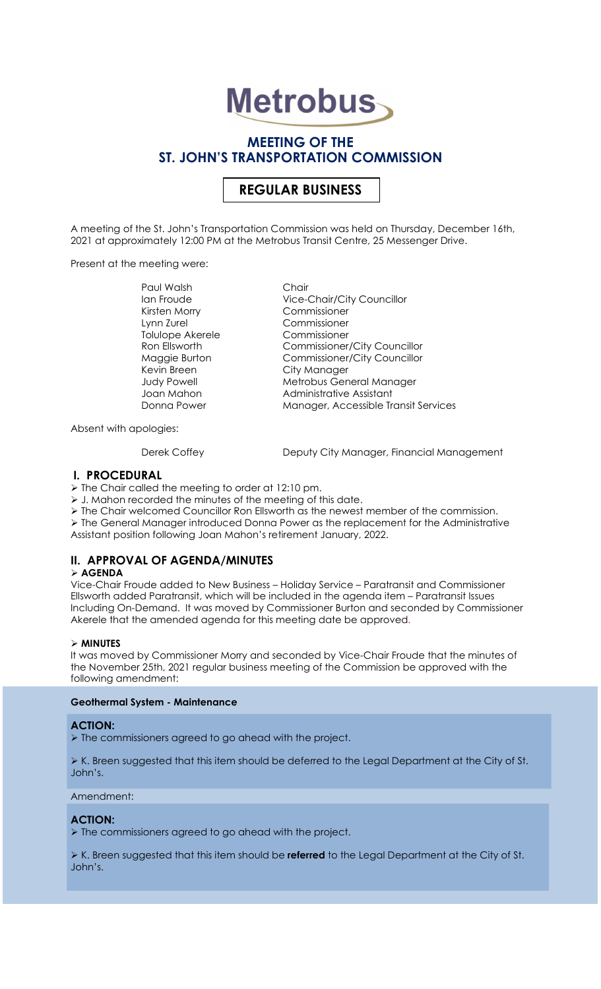# **Metrobus**

## MEETING OF THE ST. JOHN'S TRANSPORTATION COMMISSION

## REGULAR BUSINESS

A meeting of the St. John's Transportation Commission was held on Thursday, December 16th, 2021 at approximately 12:00 PM at the Metrobus Transit Centre, 25 Messenger Drive.

Present at the meeting were:

Paul Walsh Chair Kirsten Morry Commissioner Lynn Zurel Commissioner Tolulope Akerele Commissioner Muyyid Borrori<br>Kevin Breen City Manager<br>Address Matrichus Con

Ian Froude **Vice-Chair/City Councillor** Ron Ellsworth Commissioner/City Councillor Maggie Burton Commissioner/City Councillor Judy Powell Metrobus General Manager Joan Mahon Administrative Assistant<br>Donna Power Manager, Accessible Tr Manager, Accessible Transit Services

Absent with apologies:

Derek Coffey **Deputy City Manager, Financial Management** 

#### I. PROCEDURAL

 $\triangleright$  The Chair called the meeting to order at 12:10 pm.

J. Mahon recorded the minutes of the meeting of this date.

 $\triangleright$  The Chair welcomed Councillor Ron Ellsworth as the newest member of the commission.

 The General Manager introduced Donna Power as the replacement for the Administrative Assistant position following Joan Mahon's retirement January, 2022.

## II. APPROVAL OF AGENDA/MINUTES

#### $\triangleright$  AGENDA

Vice-Chair Froude added to New Business – Holiday Service – Paratransit and Commissioner Ellsworth added Paratransit, which will be included in the agenda item – Paratransit Issues Including On-Demand. It was moved by Commissioner Burton and seconded by Commissioner Akerele that the amended agenda for this meeting date be approved.

#### $\triangleright$  MINUTES

It was moved by Commissioner Morry and seconded by Vice-Chair Froude that the minutes of the November 25th, 2021 regular business meeting of the Commission be approved with the following amendment:

#### Geothermal System - Maintenance

#### ACTION:

> The commissioners agreed to go ahead with the project.

 $\triangleright$  K. Breen suggested that this item should be deferred to the Legal Department at the City of St. John's.

#### Amendment:

#### ACTION:

 $\triangleright$  The commissioners agreed to go ahead with the project.

K. Breen suggested that this item should be referred to the Legal Department at the City of St. John's.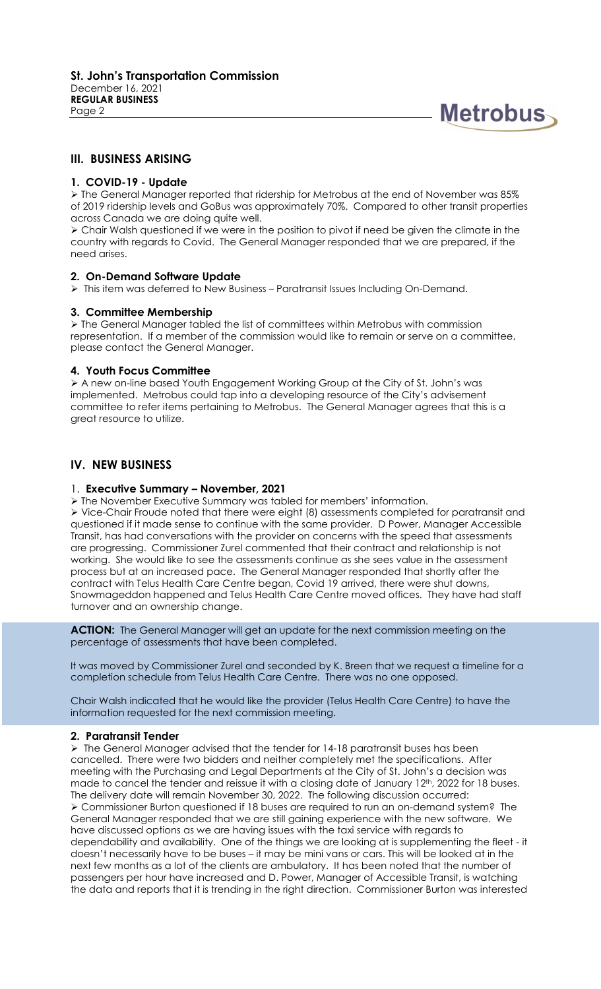

#### III. BUSINESS ARISING

#### 1. COVID-19 - Update

 The General Manager reported that ridership for Metrobus at the end of November was 85% of 2019 ridership levels and GoBus was approximately 70%. Compared to other transit properties across Canada we are doing quite well.

 Chair Walsh questioned if we were in the position to pivot if need be given the climate in the country with regards to Covid. The General Manager responded that we are prepared, if the need arises.

#### 2. On-Demand Software Update

 $\triangleright$  This item was deferred to New Business – Paratransit Issues Including On-Demand.

#### 3. Committee Membership

 The General Manager tabled the list of committees within Metrobus with commission representation. If a member of the commission would like to remain or serve on a committee, please contact the General Manager.

#### 4. Youth Focus Committee

 A new on-line based Youth Engagement Working Group at the City of St. John's was implemented. Metrobus could tap into a developing resource of the City's advisement committee to refer items pertaining to Metrobus. The General Manager agrees that this is a great resource to utilize.

#### IV. NEW BUSINESS

#### 1. Executive Summary – November, 2021

The November Executive Summary was tabled for members' information.

 Vice-Chair Froude noted that there were eight (8) assessments completed for paratransit and questioned if it made sense to continue with the same provider. D Power, Manager Accessible Transit, has had conversations with the provider on concerns with the speed that assessments are progressing. Commissioner Zurel commented that their contract and relationship is not working. She would like to see the assessments continue as she sees value in the assessment process but at an increased pace. The General Manager responded that shortly after the contract with Telus Health Care Centre began, Covid 19 arrived, there were shut downs, Snowmageddon happened and Telus Health Care Centre moved offices. They have had staff turnover and an ownership change.

ACTION: The General Manager will get an update for the next commission meeting on the percentage of assessments that have been completed.

It was moved by Commissioner Zurel and seconded by K. Breen that we request a timeline for a completion schedule from Telus Health Care Centre. There was no one opposed.

Chair Walsh indicated that he would like the provider (Telus Health Care Centre) to have the information requested for the next commission meeting.

#### 2. Paratransit Tender

 $\triangleright$  The General Manager advised that the tender for 14-18 paratransit buses has been cancelled. There were two bidders and neither completely met the specifications. After meeting with the Purchasing and Legal Departments at the City of St. John's a decision was made to cancel the tender and reissue it with a closing date of January 12<sup>th</sup>, 2022 for 18 buses. The delivery date will remain November 30, 2022. The following discussion occurred: Commissioner Burton questioned if 18 buses are required to run an on-demand system? The General Manager responded that we are still gaining experience with the new software. We have discussed options as we are having issues with the taxi service with regards to dependability and availability. One of the things we are looking at is supplementing the fleet - it doesn't necessarily have to be buses – it may be mini vans or cars. This will be looked at in the next few months as a lot of the clients are ambulatory. It has been noted that the number of passengers per hour have increased and D. Power, Manager of Accessible Transit, is watching the data and reports that it is trending in the right direction. Commissioner Burton was interested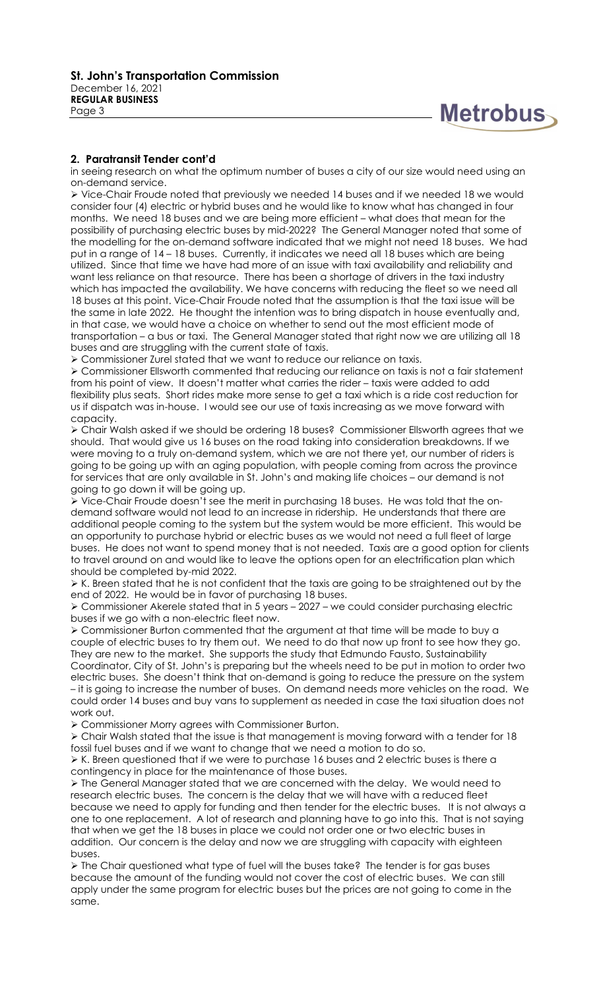

#### 2. Paratransit Tender cont'd

in seeing research on what the optimum number of buses a city of our size would need using an on-demand service.

 Vice-Chair Froude noted that previously we needed 14 buses and if we needed 18 we would consider four (4) electric or hybrid buses and he would like to know what has changed in four months. We need 18 buses and we are being more efficient – what does that mean for the possibility of purchasing electric buses by mid-2022? The General Manager noted that some of the modelling for the on-demand software indicated that we might not need 18 buses. We had put in a range of 14 – 18 buses. Currently, it indicates we need all 18 buses which are being utilized. Since that time we have had more of an issue with taxi availability and reliability and want less reliance on that resource. There has been a shortage of drivers in the taxi industry which has impacted the availability. We have concerns with reducing the fleet so we need all 18 buses at this point. Vice-Chair Froude noted that the assumption is that the taxi issue will be the same in late 2022. He thought the intention was to bring dispatch in house eventually and, in that case, we would have a choice on whether to send out the most efficient mode of transportation – a bus or taxi. The General Manager stated that right now we are utilizing all 18 buses and are struggling with the current state of taxis.

Commissioner Zurel stated that we want to reduce our reliance on taxis.

 Commissioner Ellsworth commented that reducing our reliance on taxis is not a fair statement from his point of view. It doesn't matter what carries the rider – taxis were added to add flexibility plus seats. Short rides make more sense to get a taxi which is a ride cost reduction for us if dispatch was in-house. I would see our use of taxis increasing as we move forward with capacity.

 Chair Walsh asked if we should be ordering 18 buses? Commissioner Ellsworth agrees that we should. That would give us 16 buses on the road taking into consideration breakdowns. If we were moving to a truly on-demand system, which we are not there yet, our number of riders is going to be going up with an aging population, with people coming from across the province for services that are only available in St. John's and making life choices – our demand is not going to go down it will be going up.

 Vice-Chair Froude doesn't see the merit in purchasing 18 buses. He was told that the ondemand software would not lead to an increase in ridership. He understands that there are additional people coming to the system but the system would be more efficient. This would be an opportunity to purchase hybrid or electric buses as we would not need a full fleet of large buses. He does not want to spend money that is not needed. Taxis are a good option for clients to travel around on and would like to leave the options open for an electrification plan which should be completed by-mid 2022.

 $\triangleright$  K. Breen stated that he is not confident that the taxis are going to be straightened out by the end of 2022. He would be in favor of purchasing 18 buses.

 Commissioner Akerele stated that in 5 years – 2027 – we could consider purchasing electric buses if we go with a non-electric fleet now.

 Commissioner Burton commented that the argument at that time will be made to buy a couple of electric buses to try them out. We need to do that now up front to see how they go. They are new to the market. She supports the study that Edmundo Fausto, Sustainability Coordinator, City of St. John's is preparing but the wheels need to be put in motion to order two

electric buses. She doesn't think that on-demand is going to reduce the pressure on the system – it is going to increase the number of buses. On demand needs more vehicles on the road. We could order 14 buses and buy vans to supplement as needed in case the taxi situation does not work out.

Commissioner Morry agrees with Commissioner Burton.

 Chair Walsh stated that the issue is that management is moving forward with a tender for 18 fossil fuel buses and if we want to change that we need a motion to do so.

 $\triangleright$  K. Breen questioned that if we were to purchase 16 buses and 2 electric buses is there a contingency in place for the maintenance of those buses.

 $\triangleright$  The General Manager stated that we are concerned with the delay. We would need to research electric buses. The concern is the delay that we will have with a reduced fleet because we need to apply for funding and then tender for the electric buses. It is not always a one to one replacement. A lot of research and planning have to go into this. That is not saying that when we get the 18 buses in place we could not order one or two electric buses in addition. Our concern is the delay and now we are struggling with capacity with eighteen buses.

 The Chair questioned what type of fuel will the buses take? The tender is for gas buses because the amount of the funding would not cover the cost of electric buses. We can still apply under the same program for electric buses but the prices are not going to come in the same.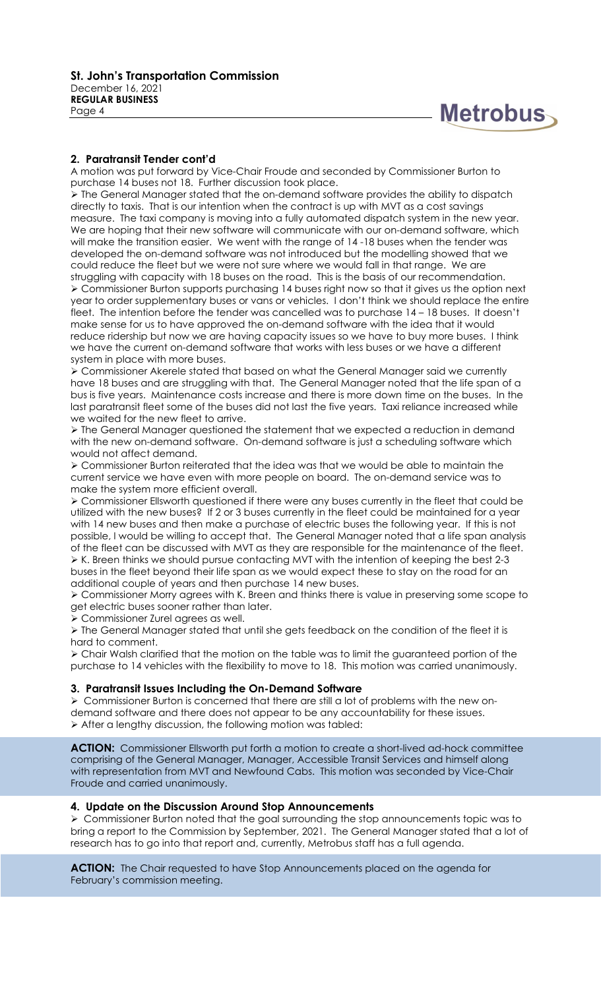

#### 2. Paratransit Tender cont'd

A motion was put forward by Vice-Chair Froude and seconded by Commissioner Burton to purchase 14 buses not 18. Further discussion took place.

 The General Manager stated that the on-demand software provides the ability to dispatch directly to taxis. That is our intention when the contract is up with MVT as a cost savings measure. The taxi company is moving into a fully automated dispatch system in the new year. We are hoping that their new software will communicate with our on-demand software, which will make the transition easier. We went with the range of 14 -18 buses when the tender was developed the on-demand software was not introduced but the modelling showed that we could reduce the fleet but we were not sure where we would fall in that range. We are struggling with capacity with 18 buses on the road. This is the basis of our recommendation. Commissioner Burton supports purchasing 14 buses right now so that it gives us the option next year to order supplementary buses or vans or vehicles. I don't think we should replace the entire fleet. The intention before the tender was cancelled was to purchase 14 – 18 buses. It doesn't make sense for us to have approved the on-demand software with the idea that it would reduce ridership but now we are having capacity issues so we have to buy more buses. I think we have the current on-demand software that works with less buses or we have a different system in place with more buses.

 Commissioner Akerele stated that based on what the General Manager said we currently have 18 buses and are struggling with that. The General Manager noted that the life span of a bus is five years. Maintenance costs increase and there is more down time on the buses. In the last paratransit fleet some of the buses did not last the five years. Taxi reliance increased while we waited for the new fleet to arrive.

 The General Manager questioned the statement that we expected a reduction in demand with the new on-demand software. On-demand software is just a scheduling software which would not affect demand.

 Commissioner Burton reiterated that the idea was that we would be able to maintain the current service we have even with more people on board. The on-demand service was to make the system more efficient overall.

 Commissioner Ellsworth questioned if there were any buses currently in the fleet that could be utilized with the new buses? If 2 or 3 buses currently in the fleet could be maintained for a year with 14 new buses and then make a purchase of electric buses the following year. If this is not possible, I would be willing to accept that. The General Manager noted that a life span analysis of the fleet can be discussed with MVT as they are responsible for the maintenance of the fleet.  $\triangleright$  K. Breen thinks we should pursue contacting MVT with the intention of keeping the best 2-3 buses in the fleet beyond their life span as we would expect these to stay on the road for an additional couple of years and then purchase 14 new buses.

 Commissioner Morry agrees with K. Breen and thinks there is value in preserving some scope to get electric buses sooner rather than later.

Commissioner Zurel agrees as well.

 $\triangleright$  The General Manager stated that until she gets feedback on the condition of the fleet it is hard to comment.

 Chair Walsh clarified that the motion on the table was to limit the guaranteed portion of the purchase to 14 vehicles with the flexibility to move to 18. This motion was carried unanimously.

#### 3. Paratransit Issues Including the On-Demand Software

 $\triangleright$  Commissioner Burton is concerned that there are still a lot of problems with the new ondemand software and there does not appear to be any accountability for these issues. After a lengthy discussion, the following motion was tabled:

ACTION: Commissioner Ellsworth put forth a motion to create a short-lived ad-hock committee comprising of the General Manager, Manager, Accessible Transit Services and himself along with representation from MVT and Newfound Cabs. This motion was seconded by Vice-Chair Froude and carried unanimously.

#### 4. Update on the Discussion Around Stop Announcements

 Commissioner Burton noted that the goal surrounding the stop announcements topic was to bring a report to the Commission by September, 2021. The General Manager stated that a lot of research has to go into that report and, currently, Metrobus staff has a full agenda.

ACTION: The Chair requested to have Stop Announcements placed on the agenda for February's commission meeting.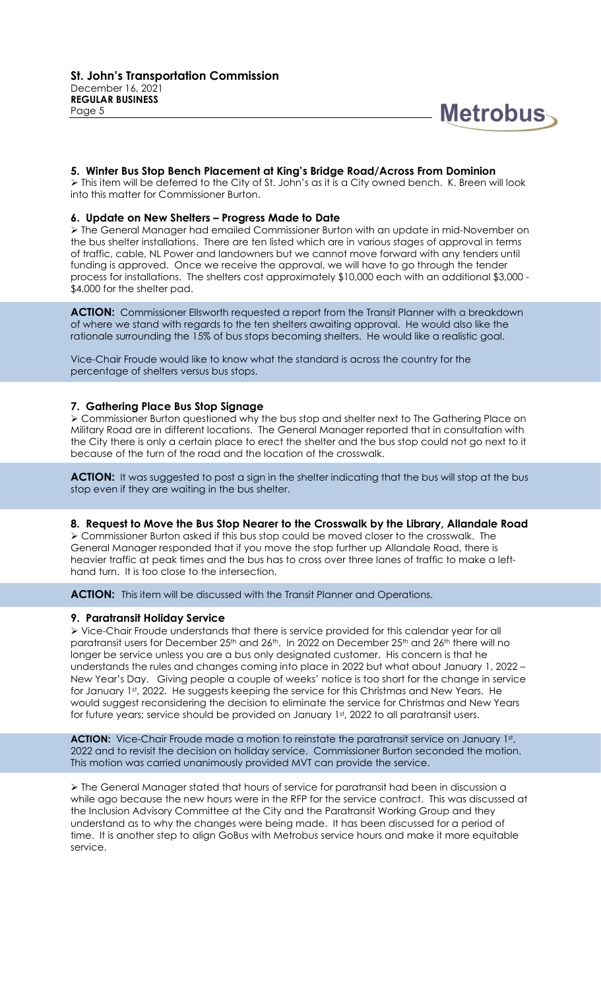

#### 5. Winter Bus Stop Bench Placement at King's Bridge Road/Across From Dominion

> This item will be deferred to the City of St. John's as it is a City owned bench. K. Breen will look into this matter for Commissioner Burton.

#### 6. Update on New Shelters – Progress Made to Date

 The General Manager had emailed Commissioner Burton with an update in mid-November on the bus shelter installations. There are ten listed which are in various stages of approval in terms of traffic, cable, NL Power and landowners but we cannot move forward with any tenders until funding is approved. Once we receive the approval, we will have to go through the tender process for installations. The shelters cost approximately \$10,000 each with an additional \$3,000 - \$4,000 for the shelter pad.

ACTION: Commissioner Ellsworth requested a report from the Transit Planner with a breakdown of where we stand with regards to the ten shelters awaiting approval. He would also like the rationale surrounding the 15% of bus stops becoming shelters. He would like a realistic goal.

Vice-Chair Froude would like to know what the standard is across the country for the percentage of shelters versus bus stops.

#### 7. Gathering Place Bus Stop Signage

 Commissioner Burton questioned why the bus stop and shelter next to The Gathering Place on Military Road are in different locations. The General Manager reported that in consultation with the City there is only a certain place to erect the shelter and the bus stop could not go next to it because of the turn of the road and the location of the crosswalk.

**ACTION:** It was suggested to post a sign in the shelter indicating that the bus will stop at the bus stop even if they are waiting in the bus shelter.

#### 8. Request to Move the Bus Stop Nearer to the Crosswalk by the Library, Allandale Road

 Commissioner Burton asked if this bus stop could be moved closer to the crosswalk. The General Manager responded that if you move the stop further up Allandale Road, there is heavier traffic at peak times and the bus has to cross over three lanes of traffic to make a lefthand turn. It is too close to the intersection.

ACTION: This item will be discussed with the Transit Planner and Operations.

#### 9. Paratransit Holiday Service

 Vice-Chair Froude understands that there is service provided for this calendar year for all paratransit users for December 25<sup>th</sup> and 26<sup>th</sup>. In 2022 on December 25<sup>th</sup> and 26<sup>th</sup> there will no longer be service unless you are a bus only designated customer. His concern is that he understands the rules and changes coming into place in 2022 but what about January 1, 2022 – New Year's Day. Giving people a couple of weeks' notice is too short for the change in service for January 1st, 2022. He suggests keeping the service for this Christmas and New Years. He would suggest reconsidering the decision to eliminate the service for Christmas and New Years for future years; service should be provided on January 1st, 2022 to all paratransit users.

ACTION: Vice-Chair Froude made a motion to reinstate the paratransit service on January 1st, 2022 and to revisit the decision on holiday service. Commissioner Burton seconded the motion. This motion was carried unanimously provided MVT can provide the service.

 The General Manager stated that hours of service for paratransit had been in discussion a while ago because the new hours were in the RFP for the service contract. This was discussed at the Inclusion Advisory Committee at the City and the Paratransit Working Group and they understand as to why the changes were being made. It has been discussed for a period of time. It is another step to align GoBus with Metrobus service hours and make it more equitable service.